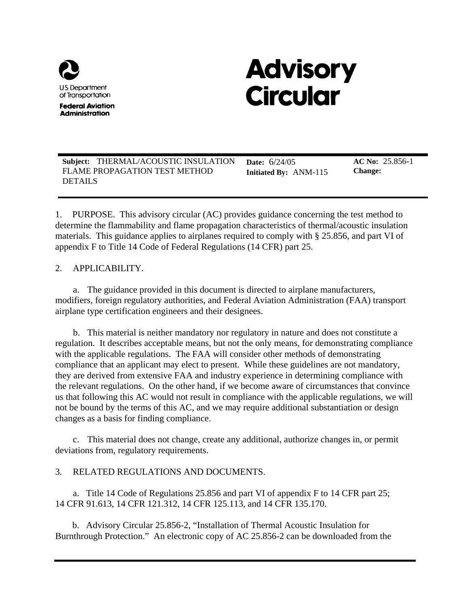

**Federal Aviation Administration** 

# **Advisory Circular**

 **Subject:** THERMAL/ACOUSTIC INSULATION **Date:** 6/24/05 **AC No:** 25.856-1 **FLAME PROPAGATION TEST METHOD** DETAILS

**Initiated By: ANM-115** 

**AC No:** 25.856-1 **Change:** 

1. PURPOSE. This advisory circular (AC) provides guidance concerning the test method to determine the flammability and flame propagation characteristics of thermal/acoustic insulation materials. This guidance applies to airplanes required to comply with § 25.856, and part VI of appendix F to Title 14 Code of Federal Regulations (14 CFR) part 25.

# 2. APPLICABILITY.

a. The guidance provided in this document is directed to airplane manufacturers, modifiers, foreign regulatory authorities, and Federal Aviation Administration (FAA) transport airplane type certification engineers and their designees.

b. This material is neither mandatory nor regulatory in nature and does not constitute a regulation. It describes acceptable means, but not the only means, for demonstrating compliance with the applicable regulations. The FAA will consider other methods of demonstrating compliance that an applicant may elect to present. While these guidelines are not mandatory, they are derived from extensive FAA and industry experience in determining compliance with the relevant regulations. On the other hand, if we become aware of circumstances that convince us that following this AC would not result in compliance with the applicable regulations, we will not be bound by the terms of this AC, and we may require additional substantiation or design changes as a basis for finding compliance.

c. This material does not change, create any additional, authorize changes in, or permit deviations from, regulatory requirements.

# 3. RELATED REGULATIONS AND DOCUMENTS.

a. Title 14 Code of Regulations 25.856 and part VI of appendix F to 14 CFR part 25; 14 CFR 91.613, 14 CFR 121.312, 14 CFR 125.113, and 14 CFR 135.170.

b. Advisory Circular 25.856-2, "Installation of Thermal Acoustic Insulation for Burnthrough Protection." An electronic copy of AC 25.856-2 can be downloaded from the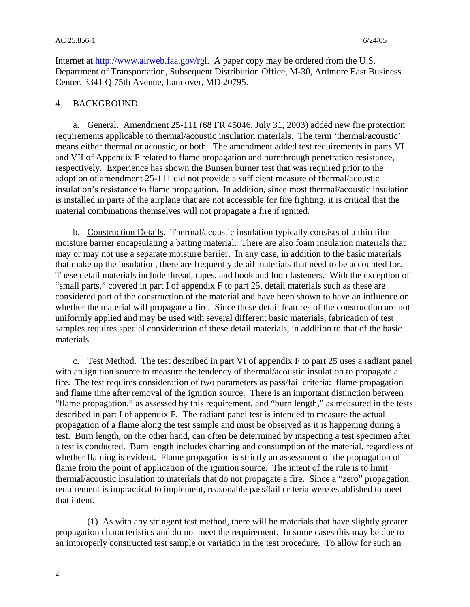Internet at [http://www.airweb.faa.gov/rgl.](http://www.airweb.faa.gov/rgl) A paper copy may be ordered from the U.S. Department of Transportation, Subsequent Distribution Office, M-30, Ardmore East Business Center, 3341 Q 75th Avenue, Landover, MD 20795.

#### 4. BACKGROUND.

a. General. Amendment 25-111 (68 FR 45046, July 31, 2003) added new fire protection requirements applicable to thermal/acoustic insulation materials. The term 'thermal/acoustic' means either thermal or acoustic, or both. The amendment added test requirements in parts VI and VII of Appendix F related to flame propagation and burnthrough penetration resistance, respectively. Experience has shown the Bunsen burner test that was required prior to the adoption of amendment 25-111 did not provide a sufficient measure of thermal/acoustic insulation's resistance to flame propagation. In addition, since most thermal/acoustic insulation is installed in parts of the airplane that are not accessible for fire fighting, it is critical that the material combinations themselves will not propagate a fire if ignited.

b. Construction Details. Thermal/acoustic insulation typically consists of a thin film moisture barrier encapsulating a batting material. There are also foam insulation materials that may or may not use a separate moisture barrier. In any case, in addition to the basic materials that make up the insulation, there are frequently detail materials that need to be accounted for. These detail materials include thread, tapes, and hook and loop fasteners. With the exception of "small parts," covered in part I of appendix F to part 25, detail materials such as these are considered part of the construction of the material and have been shown to have an influence on whether the material will propagate a fire. Since these detail features of the construction are not uniformly applied and may be used with several different basic materials, fabrication of test samples requires special consideration of these detail materials, in addition to that of the basic materials.

 c. Test Method. The test described in part VI of appendix F to part 25 uses a radiant panel with an ignition source to measure the tendency of thermal/acoustic insulation to propagate a fire. The test requires consideration of two parameters as pass/fail criteria: flame propagation and flame time after removal of the ignition source. There is an important distinction between "flame propagation," as assessed by this requirement, and "burn length," as measured in the tests described in part I of appendix F. The radiant panel test is intended to measure the actual propagation of a flame along the test sample and must be observed as it is happening during a test. Burn length, on the other hand, can often be determined by inspecting a test specimen after a test is conducted. Burn length includes charring and consumption of the material, regardless of whether flaming is evident. Flame propagation is strictly an assessment of the propagation of flame from the point of application of the ignition source. The intent of the rule is to limit thermal/acoustic insulation to materials that do not propagate a fire. Since a "zero" propagation requirement is impractical to implement, reasonable pass/fail criteria were established to meet that intent.

(1) As with any stringent test method, there will be materials that have slightly greater propagation characteristics and do not meet the requirement. In some cases this may be due to an improperly constructed test sample or variation in the test procedure. To allow for such an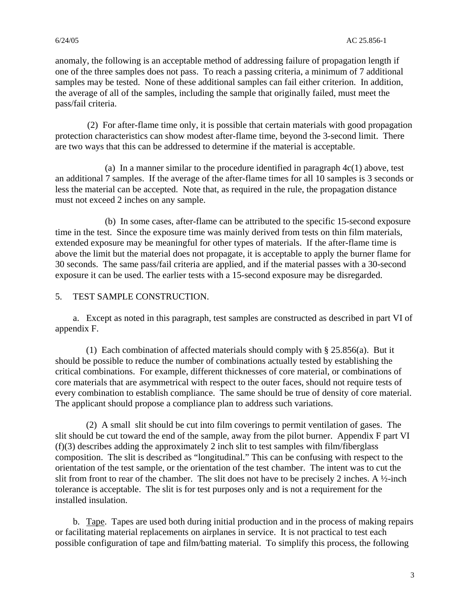anomaly, the following is an acceptable method of addressing failure of propagation length if one of the three samples does not pass. To reach a passing criteria, a minimum of 7 additional samples may be tested. None of these additional samples can fail either criterion. In addition, the average of all of the samples, including the sample that originally failed, must meet the pass/fail criteria.

(2) For after-flame time only, it is possible that certain materials with good propagation protection characteristics can show modest after-flame time, beyond the 3-second limit. There are two ways that this can be addressed to determine if the material is acceptable.

(a) In a manner similar to the procedure identified in paragraph  $4c(1)$  above, test an additional 7 samples. If the average of the after-flame times for all 10 samples is 3 seconds or less the material can be accepted. Note that, as required in the rule, the propagation distance must not exceed 2 inches on any sample.

(b) In some cases, after-flame can be attributed to the specific 15-second exposure time in the test. Since the exposure time was mainly derived from tests on thin film materials, extended exposure may be meaningful for other types of materials. If the after-flame time is above the limit but the material does not propagate, it is acceptable to apply the burner flame for 30 seconds. The same pass/fail criteria are applied, and if the material passes with a 30-second exposure it can be used. The earlier tests with a 15-second exposure may be disregarded.

### 5. TEST SAMPLE CONSTRUCTION.

a. Except as noted in this paragraph, test samples are constructed as described in part VI of appendix F.

(1) Each combination of affected materials should comply with § 25.856(a). But it should be possible to reduce the number of combinations actually tested by establishing the critical combinations. For example, different thicknesses of core material, or combinations of core materials that are asymmetrical with respect to the outer faces, should not require tests of every combination to establish compliance. The same should be true of density of core material. The applicant should propose a compliance plan to address such variations.

(2) A small slit should be cut into film coverings to permit ventilation of gases. The slit should be cut toward the end of the sample, away from the pilot burner. Appendix F part VI (f)(3) describes adding the approximately 2 inch slit to test samples with film/fiberglass composition. The slit is described as "longitudinal." This can be confusing with respect to the orientation of the test sample, or the orientation of the test chamber. The intent was to cut the slit from front to rear of the chamber. The slit does not have to be precisely 2 inches. A  $\frac{1}{2}$ -inch tolerance is acceptable. The slit is for test purposes only and is not a requirement for the installed insulation.

b. Tape. Tapes are used both during initial production and in the process of making repairs either a protection of the production of the protection of the protection of the protection of the protection of the protection of or facilitating material replacements on airplanes in service. It is not practical to test each possible configuration of tape and film/batting material. To simplify this process, the following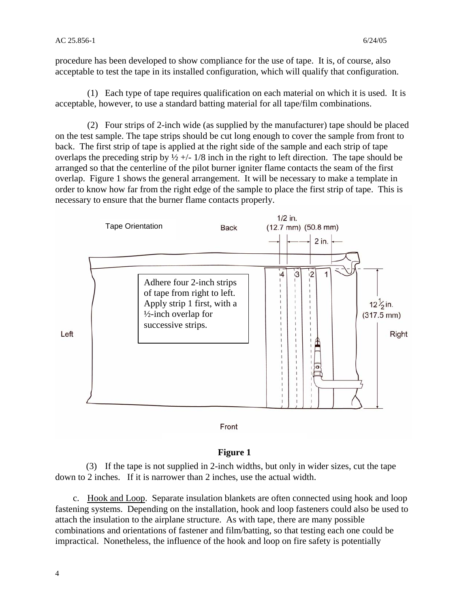procedure has been developed to show compliance for the use of tape. It is, of course, also acceptable to test the tape in its installed configuration, which will qualify that configuration.

(1) Each type of tape requires qualification on each material on which it is used. It is acceptable, however, to use a standard batting material for all tape/film combinations.

(2) Four strips of 2-inch wide (as supplied by the manufacturer) tape should be placed on the test sample. The tape strips should be cut long enough to cover the sample from front to back. The first strip of tape is applied at the right side of the sample and each strip of tape overlaps the preceding strip by  $\frac{1}{2}$  +/- 1/8 inch in the right to left direction. The tape should be arranged so that the centerline of the pilot burner igniter flame contacts the seam of the first overlap. Figure 1 shows the general arrangement. It will be necessary to make a template in order to know how far from the right edge of the sample to place the first strip of tape. This is necessary to ensure that the burner flame contacts properly.



### **Figure 1**

(3) If the tape is not supplied in 2-inch widths, but only in wider sizes, cut the tape down to 2 inches. If it is narrower than 2 inches, use the actual width.

c. Hook and Loop. Separate insulation blankets are often connected using hook and loop fastening systems. Depending on the installation, hook and loop fasteners could also be used to attach the insulation to the airplane structure. As with tape, there are many possible combinations and orientations of fastener and film/batting, so that testing each one could be impractical. Nonetheless, the influence of the hook and loop on fire safety is potentially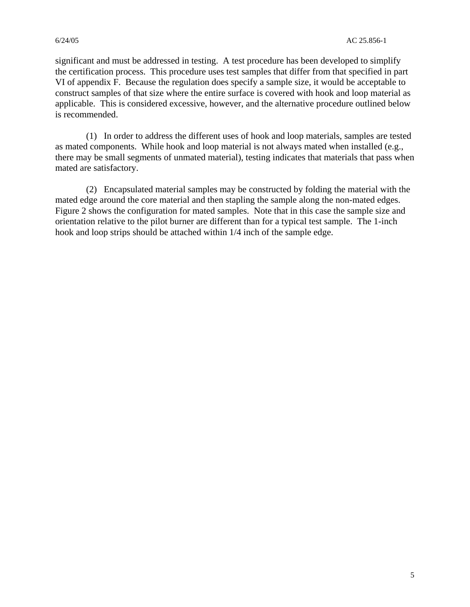significant and must be addressed in testing. A test procedure has been developed to simplify the certification process. This procedure uses test samples that differ from that specified in part VI of appendix F. Because the regulation does specify a sample size, it would be acceptable to construct samples of that size where the entire surface is covered with hook and loop material as applicable. This is considered excessive, however, and the alternative procedure outlined below is recommended.

(1) In order to address the different uses of hook and loop materials, samples are tested as mated components. While hook and loop material is not always mated when installed (e.g., there may be small segments of unmated material), testing indicates that materials that pass when mated are satisfactory.

(2) Encapsulated material samples may be constructed by folding the material with the mated edge around the core material and then stapling the sample along the non-mated edges. Figure 2 shows the configuration for mated samples. Note that in this case the sample size and orientation relative to the pilot burner are different than for a typical test sample. The 1-inch hook and loop strips should be attached within 1/4 inch of the sample edge.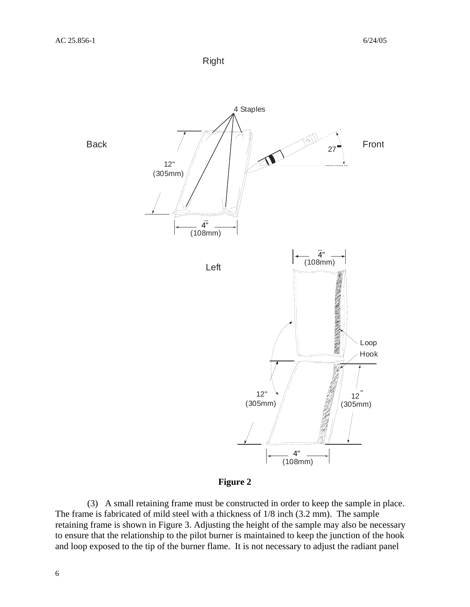![](_page_5_Figure_2.jpeg)

![](_page_5_Figure_3.jpeg)

![](_page_5_Figure_4.jpeg)

(3) A small retaining frame must be constructed in order to keep the sample in place. The frame is fabricated of mild steel with a thickness of 1/8 inch (3.2 mm). The sample retaining frame is shown in Figure 3. Adjusting the height of the sample may also be necessary to ensure that the relationship to the pilot burner is maintained to keep the junction of the hook and loop exposed to the tip of the burner flame. It is not necessary to adjust the radiant panel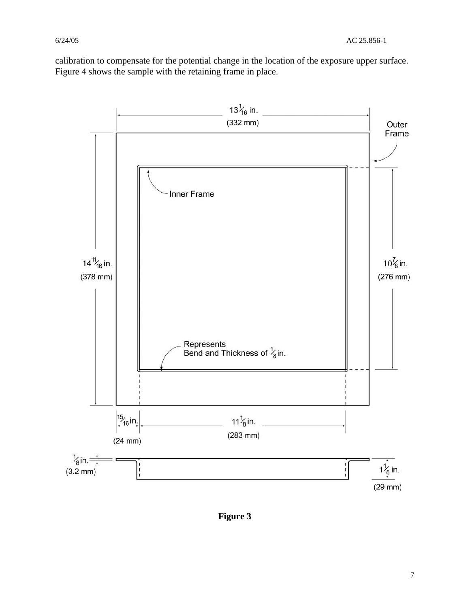calibration to compensate for the potential change in the location of the exposure upper surface. Figure 4 shows the sample with the retaining frame in place.

![](_page_6_Figure_3.jpeg)

**Figure 3**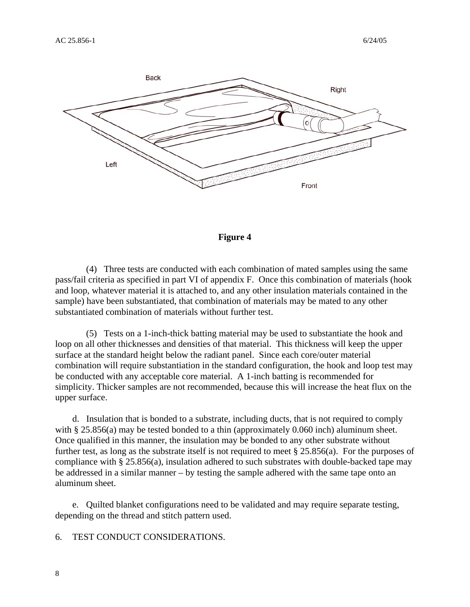![](_page_7_Figure_2.jpeg)

![](_page_7_Figure_3.jpeg)

(4) Three tests are conducted with each combination of mated samples using the same pass/fail criteria as specified in part VI of appendix F. Once this combination of materials (hook and loop, whatever material it is attached to, and any other insulation materials contained in the sample) have been substantiated, that combination of materials may be mated to any other substantiated combination of materials without further test.

(5) Tests on a 1-inch-thick batting material may be used to substantiate the hook and loop on all other thicknesses and densities of that material. This thickness will keep the upper surface at the standard height below the radiant panel. Since each core/outer material combination will require substantiation in the standard configuration, the hook and loop test may be conducted with any acceptable core material. A 1-inch batting is recommended for simplicity. Thicker samples are not recommended, because this will increase the heat flux on the upper surface.

d. Insulation that is bonded to a substrate, including ducts, that is not required to comply with § 25.856(a) may be tested bonded to a thin (approximately 0.060 inch) aluminum sheet. Once qualified in this manner, the insulation may be bonded to any other substrate without further test, as long as the substrate itself is not required to meet § 25.856(a). For the purposes of compliance with § 25.856(a), insulation adhered to such substrates with double-backed tape may be addressed in a similar manner – by testing the sample adhered with the same tape onto an aluminum sheet.

e. Quilted blanket configurations need to be validated and may require separate testing, depending on the thread and stitch pattern used.

6. TEST CONDUCT CONSIDERATIONS.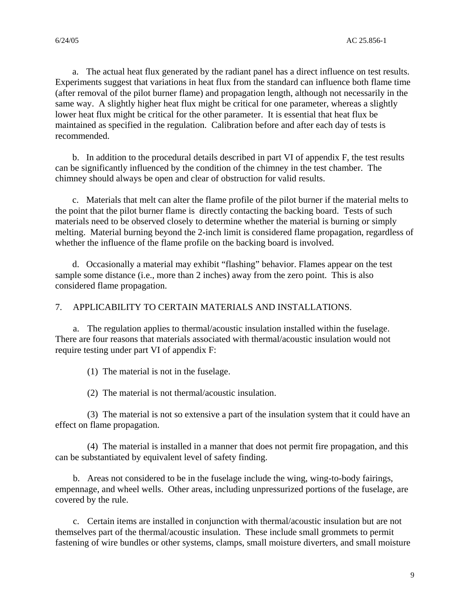a. The actual heat flux generated by the radiant panel has a direct influence on test results. Experiments suggest that variations in heat flux from the standard can influence both flame time (after removal of the pilot burner flame) and propagation length, although not necessarily in the same way. A slightly higher heat flux might be critical for one parameter, whereas a slightly lower heat flux might be critical for the other parameter. It is essential that heat flux be maintained as specified in the regulation. Calibration before and after each day of tests is recommended.

b. In addition to the procedural details described in part VI of appendix F, the test results can be significantly influenced by the condition of the chimney in the test chamber. The chimney should always be open and clear of obstruction for valid results.

c. Materials that melt can alter the flame profile of the pilot burner if the material melts to the point that the pilot burner flame is directly contacting the backing board. Tests of such materials need to be observed closely to determine whether the material is burning or simply melting. Material burning beyond the 2-inch limit is considered flame propagation, regardless of whether the influence of the flame profile on the backing board is involved.

d. Occasionally a material may exhibit "flashing" behavior. Flames appear on the test sample some distance (i.e., more than 2 inches) away from the zero point. This is also considered flame propagation.

7. APPLICABILITY TO CERTAIN MATERIALS AND INSTALLATIONS.

a. The regulation applies to thermal/acoustic insulation installed within the fuselage. There are four reasons that materials associated with thermal/acoustic insulation would not require testing under part VI of appendix F:

(1) The material is not in the fuselage.

(2) The material is not thermal/acoustic insulation.

(3) The material is not so extensive a part of the insulation system that it could have an effect on flame propagation.

(4) The material is installed in a manner that does not permit fire propagation, and this can be substantiated by equivalent level of safety finding.

b. Areas not considered to be in the fuselage include the wing, wing-to-body fairings, empennage, and wheel wells. Other areas, including unpressurized portions of the fuselage, are covered by the rule.

c. Certain items are installed in conjunction with thermal/acoustic insulation but are not themselves part of the thermal/acoustic insulation. These include small grommets to permit fastening of wire bundles or other systems, clamps, small moisture diverters, and small moisture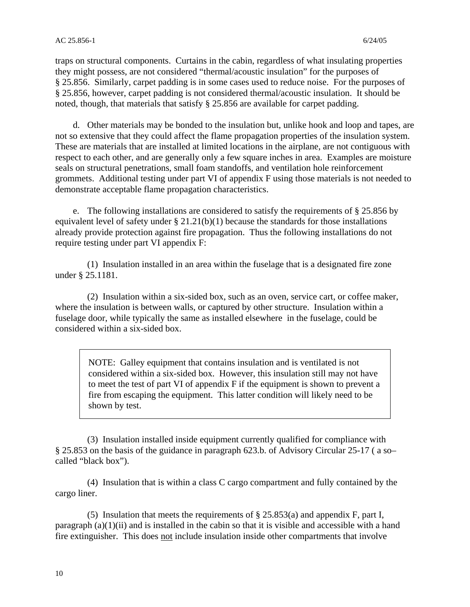traps on structural components. Curtains in the cabin, regardless of what insulating properties they might possess, are not considered "thermal/acoustic insulation" for the purposes of § 25.856. Similarly, carpet padding is in some cases used to reduce noise. For the purposes of § 25.856, however, carpet padding is not considered thermal/acoustic insulation. It should be noted, though, that materials that satisfy § 25.856 are available for carpet padding.

d. Other materials may be bonded to the insulation but, unlike hook and loop and tapes, are not so extensive that they could affect the flame propagation properties of the insulation system. These are materials that are installed at limited locations in the airplane, are not contiguous with respect to each other, and are generally only a few square inches in area. Examples are moisture seals on structural penetrations, small foam standoffs, and ventilation hole reinforcement grommets. Additional testing under part VI of appendix F using those materials is not needed to demonstrate acceptable flame propagation characteristics.

e. The following installations are considered to satisfy the requirements of § 25.856 by equivalent level of safety under  $\S 21.21(b)(1)$  because the standards for those installations already provide protection against fire propagation. Thus the following installations do not require testing under part VI appendix F:

(1) Insulation installed in an area within the fuselage that is a designated fire zone under § 25.1181.

(2) Insulation within a six-sided box, such as an oven, service cart, or coffee maker, where the insulation is between walls, or captured by other structure. Insulation within a fuselage door, while typically the same as installed elsewhere in the fuselage, could be considered within a six-sided box.

NOTE: Galley equipment that contains insulation and is ventilated is not considered within a six-sided box. However, this insulation still may not have to meet the test of part VI of appendix F if the equipment is shown to prevent a fire from escaping the equipment. This latter condition will likely need to be shown by test.

(3) Insulation installed inside equipment currently qualified for compliance with § 25.853 on the basis of the guidance in paragraph 623.b. of Advisory Circular 25-17 ( a so– called "black box").

(4) Insulation that is within a class C cargo compartment and fully contained by the cargo liner.

(5) Insulation that meets the requirements of § 25.853(a) and appendix F, part I, paragraph  $(a)(1)(ii)$  and is installed in the cabin so that it is visible and accessible with a hand fire extinguisher. This does not include insulation inside other compartments that involve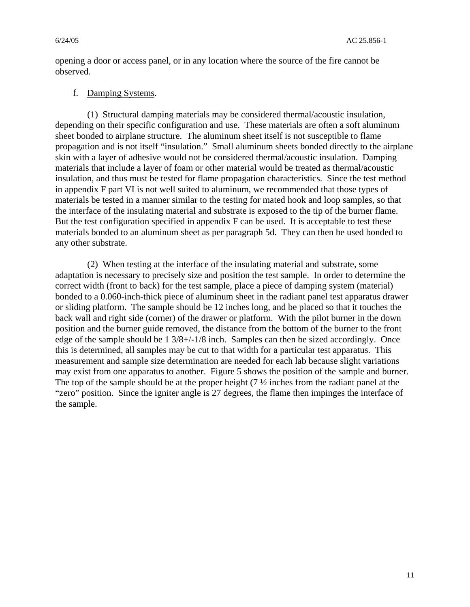opening a door or access panel, or in any location where the source of the fire cannot be observed.

#### f. Damping Systems.

(1) Structural damping materials may be considered thermal/acoustic insulation, depending on their specific configuration and use. These materials are often a soft aluminum sheet bonded to airplane structure. The aluminum sheet itself is not susceptible to flame propagation and is not itself "insulation." Small aluminum sheets bonded directly to the airplane skin with a layer of adhesive would not be considered thermal/acoustic insulation. Damping materials that include a layer of foam or other material would be treated as thermal/acoustic insulation, and thus must be tested for flame propagation characteristics. Since the test method in appendix F part VI is not well suited to aluminum, we recommended that those types of materials be tested in a manner similar to the testing for mated hook and loop samples, so that the interface of the insulating material and substrate is exposed to the tip of the burner flame. But the test configuration specified in appendix F can be used. It is acceptable to test these materials bonded to an aluminum sheet as per paragraph 5d. They can then be used bonded to any other substrate.

(2) When testing at the interface of the insulating material and substrate, some adaptation is necessary to precisely size and position the test sample. In order to determine the correct width (front to back) for the test sample, place a piece of damping system (material) bonded to a 0.060-inch-thick piece of aluminum sheet in the radiant panel test apparatus drawer or sliding platform. The sample should be 12 inches long, and be placed so that it touches the back wall and right side (corner) of the drawer or platform. With the pilot burner in the down position and the burner guid**e** removed, the distance from the bottom of the burner to the front edge of the sample should be 1 3/8+/-1/8 inch. Samples can then be sized accordingly. Once this is determined, all samples may be cut to that width for a particular test apparatus. This measurement and sample size determination are needed for each lab because slight variations may exist from one apparatus to another. Figure 5 shows the position of the sample and burner. The top of the sample should be at the proper height (7 ½ inches from the radiant panel at the "zero" position. Since the igniter angle is 27 degrees, the flame then impinges the interface of the sample.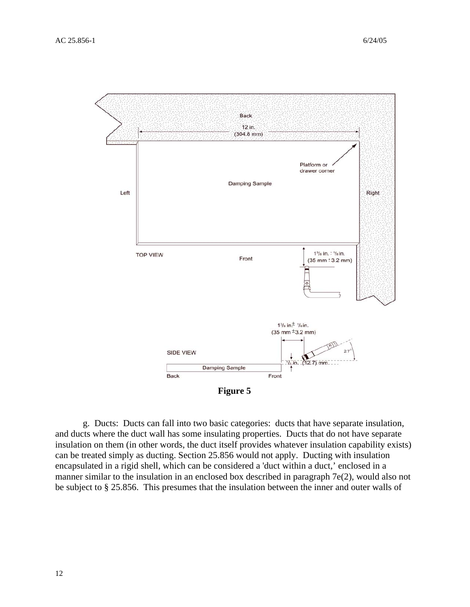![](_page_11_Figure_2.jpeg)

g. Ducts: Ducts can fall into two basic categories: ducts that have separate insulation, and ducts where the duct wall has some insulating properties. Ducts that do not have separate insulation on them (in other words, the duct itself provides whatever insulation capability exists) can be treated simply as ducting. Section 25.856 would not apply. Ducting with insulation encapsulated in a rigid shell, which can be considered a 'duct within a duct,' enclosed in a manner similar to the insulation in an enclosed box described in paragraph 7e(2), would also not be subject to § 25.856. This presumes that the insulation between the inner and outer walls of